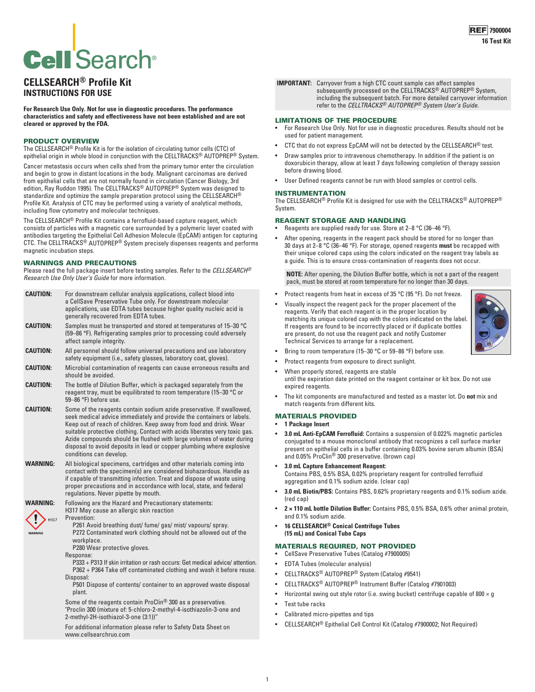# **Cell** Search<sup>®</sup>

# **CELLSEARCH® Profile Kit INSTRUCTIONS FOR USE**

**For Research Use Only. Not for use in diagnostic procedures. The performance characteristics and safety and effectiveness have not been established and are not cleared or approved by the FDA.**

# PRODUCT OVERVIEW

The CELLSEARCH® Profile Kit is for the isolation of circulating tumor cells (CTC) of epithelial origin in whole blood in conjunction with the CELLTRACKS<sup>®</sup> AUTOPREP<sup>®</sup> System.

Cancer metastasis occurs when cells shed from the primary tumor enter the circulation and begin to grow in distant locations in the body. Malignant carcinomas are derived from epithelial cells that are not normally found in circulation (Cancer Biology, 3rd edition, Ray Ruddon 1995). The CELLTRACKS® AUTOPREP® System was designed to standardize and optimize the sample preparation protocol using the CELLSEARCH® Profile Kit. Analysis of CTC may be performed using a variety of analytical methods, including flow cytometry and molecular techniques.

The CELLSEARCH® Profile Kit contains a ferrofluid-based capture reagent, which consists of particles with a magnetic core surrounded by a polymeric layer coated with antibodies targeting the Epithelial Cell Adhesion Molecule (EpCAM) antigen for capturing CTC. The CELLTRACKS® AUTOPREP® System precisely dispenses reagents and performs magnetic incubation steps.

# WARNINGS AND PRECAUTIONS

Please read the full package insert before testing samples. Refer to the *CELLSEARCH® Research Use Only User's Guide* for more information.

| <b>CAUTION:</b><br>For downstream cellular analysis applications, collect blood into<br>a CellSave Preservative Tube only. For downstream molecular<br>applications, use EDTA tubes because higher quality nucleic acid is<br>generally recovered from EDTA tubes.<br><b>CAUTION:</b><br>Samples must be transported and stored at temperatures of 15-30 °C<br>(59–86 °F). Refrigerating samples prior to processing could adversely<br>affect sample integrity.<br>All personnel should follow universal precautions and use laboratory<br>CAUTION:<br>safety equipment (i.e., safety glasses, laboratory coat, gloves).<br>Microbial contamination of reagents can cause erroneous results and<br>CAUTION:<br>should be avoided.<br>The bottle of Dilution Buffer, which is packaged separately from the<br><b>CAUTION:</b><br>reagent tray, must be equilibrated to room temperature (15-30 °C or<br>59-86 °F) before use.<br>Some of the reagents contain sodium azide preservative. If swallowed,<br><b>CAUTION:</b><br>seek medical advice immediately and provide the containers or labels.<br>Keep out of reach of children. Keep away from food and drink. Wear<br>suitable protective clothing. Contact with acids liberates very toxic gas.<br>Azide compounds should be flushed with large volumes of water during<br>disposal to avoid deposits in lead or copper plumbing where explosive<br>conditions can develop.<br>WARNING:<br>All biological specimens, cartridges and other materials coming into<br>contact with the specimen(s) are considered biohazardous. Handle as<br>if capable of transmitting infection. Treat and dispose of waste using<br>proper precautions and in accordance with local, state, and federal<br>regulations. Never pipette by mouth.<br>WARNING:<br>Following are the Hazard and Precautionary statements:<br>H317 May cause an allergic skin reaction<br>Prevention:<br>H317<br>P261 Avoid breathing dust/ fume/ gas/ mist/ vapours/ spray.<br>P272 Contaminated work clothing should not be allowed out of the<br>WARNING<br>workplace.<br>P280 Wear protective gloves.<br>Response:<br>P333 + P313 If skin irritation or rash occurs: Get medical advice/attention.<br>P362 + P364 Take off contaminated clothing and wash it before reuse.<br>Disposal:<br>P501 Dispose of contents/ container to an approved waste disposal<br>plant.<br>Some of the reagents contain ProClin <sup>®</sup> 300 as a preservative.<br>"Proclin 300 (mixture of: 5-chloro-2-methyl-4-isothiazolin-3-one and<br>2-methyl-2H-isothiazol-3-one (3:1))"<br>For additional information please refer to Safety Data Sheet on | www.cellsearchruo.com |  |
|-------------------------------------------------------------------------------------------------------------------------------------------------------------------------------------------------------------------------------------------------------------------------------------------------------------------------------------------------------------------------------------------------------------------------------------------------------------------------------------------------------------------------------------------------------------------------------------------------------------------------------------------------------------------------------------------------------------------------------------------------------------------------------------------------------------------------------------------------------------------------------------------------------------------------------------------------------------------------------------------------------------------------------------------------------------------------------------------------------------------------------------------------------------------------------------------------------------------------------------------------------------------------------------------------------------------------------------------------------------------------------------------------------------------------------------------------------------------------------------------------------------------------------------------------------------------------------------------------------------------------------------------------------------------------------------------------------------------------------------------------------------------------------------------------------------------------------------------------------------------------------------------------------------------------------------------------------------------------------------------------------------------------------------------------------------------------------------------------------------------------------------------------------------------------------------------------------------------------------------------------------------------------------------------------------------------------------------------------------------------------------------------------------------------------------------------------------------------------------------------------------------------------------------------------------------------------------------------------------------------------------------------------------------|-----------------------|--|
|                                                                                                                                                                                                                                                                                                                                                                                                                                                                                                                                                                                                                                                                                                                                                                                                                                                                                                                                                                                                                                                                                                                                                                                                                                                                                                                                                                                                                                                                                                                                                                                                                                                                                                                                                                                                                                                                                                                                                                                                                                                                                                                                                                                                                                                                                                                                                                                                                                                                                                                                                                                                                                                             |                       |  |
|                                                                                                                                                                                                                                                                                                                                                                                                                                                                                                                                                                                                                                                                                                                                                                                                                                                                                                                                                                                                                                                                                                                                                                                                                                                                                                                                                                                                                                                                                                                                                                                                                                                                                                                                                                                                                                                                                                                                                                                                                                                                                                                                                                                                                                                                                                                                                                                                                                                                                                                                                                                                                                                             |                       |  |
|                                                                                                                                                                                                                                                                                                                                                                                                                                                                                                                                                                                                                                                                                                                                                                                                                                                                                                                                                                                                                                                                                                                                                                                                                                                                                                                                                                                                                                                                                                                                                                                                                                                                                                                                                                                                                                                                                                                                                                                                                                                                                                                                                                                                                                                                                                                                                                                                                                                                                                                                                                                                                                                             |                       |  |
|                                                                                                                                                                                                                                                                                                                                                                                                                                                                                                                                                                                                                                                                                                                                                                                                                                                                                                                                                                                                                                                                                                                                                                                                                                                                                                                                                                                                                                                                                                                                                                                                                                                                                                                                                                                                                                                                                                                                                                                                                                                                                                                                                                                                                                                                                                                                                                                                                                                                                                                                                                                                                                                             |                       |  |
|                                                                                                                                                                                                                                                                                                                                                                                                                                                                                                                                                                                                                                                                                                                                                                                                                                                                                                                                                                                                                                                                                                                                                                                                                                                                                                                                                                                                                                                                                                                                                                                                                                                                                                                                                                                                                                                                                                                                                                                                                                                                                                                                                                                                                                                                                                                                                                                                                                                                                                                                                                                                                                                             |                       |  |
|                                                                                                                                                                                                                                                                                                                                                                                                                                                                                                                                                                                                                                                                                                                                                                                                                                                                                                                                                                                                                                                                                                                                                                                                                                                                                                                                                                                                                                                                                                                                                                                                                                                                                                                                                                                                                                                                                                                                                                                                                                                                                                                                                                                                                                                                                                                                                                                                                                                                                                                                                                                                                                                             |                       |  |
|                                                                                                                                                                                                                                                                                                                                                                                                                                                                                                                                                                                                                                                                                                                                                                                                                                                                                                                                                                                                                                                                                                                                                                                                                                                                                                                                                                                                                                                                                                                                                                                                                                                                                                                                                                                                                                                                                                                                                                                                                                                                                                                                                                                                                                                                                                                                                                                                                                                                                                                                                                                                                                                             |                       |  |
|                                                                                                                                                                                                                                                                                                                                                                                                                                                                                                                                                                                                                                                                                                                                                                                                                                                                                                                                                                                                                                                                                                                                                                                                                                                                                                                                                                                                                                                                                                                                                                                                                                                                                                                                                                                                                                                                                                                                                                                                                                                                                                                                                                                                                                                                                                                                                                                                                                                                                                                                                                                                                                                             |                       |  |

#### **IMPORTANT:** Carryover from a high CTC count sample can affect samples subsequently processed on the CELLTRACKS® AUTOPREP® System, including the subsequent batch. For more detailed carryover information refer to the *CELLTRACKS® AUTOPREP® System User's Guide.*

# LIMITATIONS OF THE PROCEDURE

- For Research Use Only. Not for use in diagnostic procedures. Results should not be used for patient management.
- CTC that do not express EpCAM will not be detected by the CELLSEARCH® test.
- Draw samples prior to intravenous chemotherapy. In addition if the patient is on doxorubicin therapy, allow at least 7 days following completion of therapy session before drawing blood.
- User Defined reagents cannot be run with blood samples or control cells.

## INSTRUMENTATION

The CELLSEARCH® Profile Kit is designed for use with the CELLTRACKS® AUTOPREP® System.

## REAGENT STORAGE AND HANDLING

- Reagents are supplied ready for use. Store at 2–8 °C (36–46 °F).
- After opening, reagents in the reagent pack should be stored for no longer than 30 days at 2–8 °C (36–46 °F). For storage, opened reagents **must** be recapped with their unique colored caps using the colors indicated on the reagent tray labels as a guide. This is to ensure cross-contamination of reagents does not occur.

**NOTE:** After opening, the Dilution Buffer bottle, which is not a part of the reagent pack, must be stored at room temperature for no longer than 30 days.

- Protect reagents from heat in excess of 35 °C (95 °F). Do not freeze.
- Visually inspect the reagent pack for the proper placement of the reagents. Verify that each reagent is in the proper location by matching its unique colored cap with the colors indicated on the label. If reagents are found to be incorrectly placed or if duplicate bottles are present, do not use the reagent pack and notify Customer Technical Services to arrange for a replacement.



- Bring to room temperature (15-30 °C or 59-86 °F) before use.
- Protect reagents from exposure to direct sunlight.
- When properly stored, reagents are stable
- until the expiration date printed on the reagent container or kit box. Do not use expired reagents.
- The kit components are manufactured and tested as a master lot. Do **not** mix and match reagents from different kits.

# MATERIALS PROVIDED

## • **1 Package Insert**

• **3.0 mL Anti-EpCAM Ferrofluid:** Contains a suspension of 0.022% magnetic particles conjugated to a mouse monoclonal antibody that recognizes a cell surface marker present on epithelial cells in a buffer containing 0.03% bovine serum albumin (BSA) and 0.05% ProClin® 300 preservative. (brown cap)

# • **3.0 mL Capture Enhancement Reagent:**

Contains PBS, 0.5% BSA, 0.02% proprietary reagent for controlled ferrofluid aggregation and 0.1% sodium azide. (clear cap)

- **3.0 mL Biotin/PBS:** Contains PBS, 0.62% proprietary reagents and 0.1% sodium azide. (red cap)
- **2 × 110 mL bottle Dilution Buffer:** Contains PBS, 0.5% BSA, 0.6% other animal protein, and 0.1% sodium azide.
- **16 CELLSEARCH® Conical Centrifuge Tubes (15 mL) and Conical Tube Caps**

# MATERIALS REQUIRED, NOT PROVIDED

- CellSave Preservative Tubes (Catalog #7900005)
- EDTA Tubes (molecular analysis)
- CELLTRACKS® AUTOPREP® System (Catalog #9541)
- CELLTRACKS® AUTOPREP® Instrument Buffer (Catalog #7901003)
- Horizontal swing out style rotor (i.e. swing bucket) centrifuge capable of 800  $\times$  g
- Test tube racks
- Calibrated micro-pipettes and tips
- CELLSEARCH® Epithelial Cell Control Kit (Catalog #7900002; Not Required)